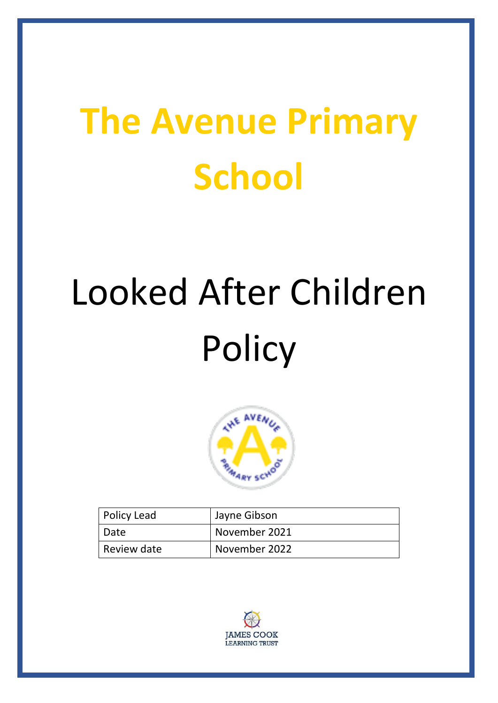# **The Avenue Primary School**

# Looked After Children **Policy**



| Policy Lead | Jayne Gibson  |
|-------------|---------------|
| Date        | November 2021 |
| Review date | November 2022 |

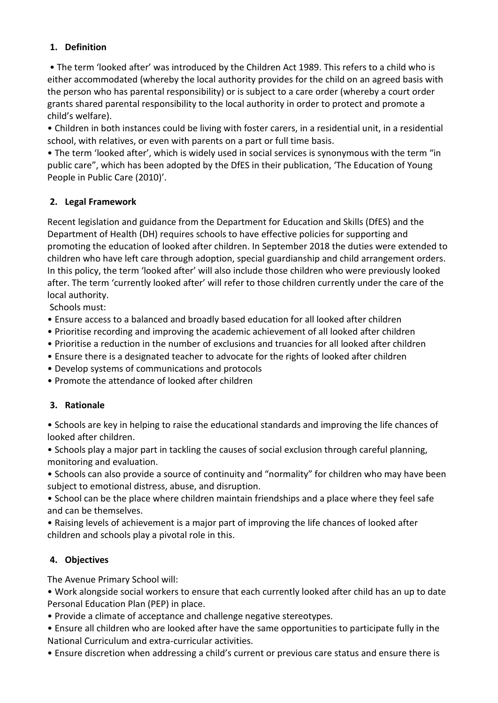### **1. Definition**

• The term 'looked after' was introduced by the Children Act 1989. This refers to a child who is either accommodated (whereby the local authority provides for the child on an agreed basis with the person who has parental responsibility) or is subject to a care order (whereby a court order grants shared parental responsibility to the local authority in order to protect and promote a child's welfare).

• Children in both instances could be living with foster carers, in a residential unit, in a residential school, with relatives, or even with parents on a part or full time basis.

• The term 'looked after', which is widely used in social services is synonymous with the term "in public care", which has been adopted by the DfES in their publication, 'The Education of Young People in Public Care (2010)'.

### **2. Legal Framework**

Recent legislation and guidance from the Department for Education and Skills (DfES) and the Department of Health (DH) requires schools to have effective policies for supporting and promoting the education of looked after children. In September 2018 the duties were extended to children who have left care through adoption, special guardianship and child arrangement orders. In this policy, the term 'looked after' will also include those children who were previously looked after. The term 'currently looked after' will refer to those children currently under the care of the local authority.

Schools must:

- Ensure access to a balanced and broadly based education for all looked after children
- Prioritise recording and improving the academic achievement of all looked after children
- Prioritise a reduction in the number of exclusions and truancies for all looked after children
- Ensure there is a designated teacher to advocate for the rights of looked after children
- Develop systems of communications and protocols
- Promote the attendance of looked after children

#### **3. Rationale**

• Schools are key in helping to raise the educational standards and improving the life chances of looked after children.

• Schools play a major part in tackling the causes of social exclusion through careful planning, monitoring and evaluation.

• Schools can also provide a source of continuity and "normality" for children who may have been subject to emotional distress, abuse, and disruption.

• School can be the place where children maintain friendships and a place where they feel safe and can be themselves.

• Raising levels of achievement is a major part of improving the life chances of looked after children and schools play a pivotal role in this.

# **4. Objectives**

The Avenue Primary School will:

• Work alongside social workers to ensure that each currently looked after child has an up to date Personal Education Plan (PEP) in place.

• Provide a climate of acceptance and challenge negative stereotypes.

• Ensure all children who are looked after have the same opportunities to participate fully in the National Curriculum and extra-curricular activities.

• Ensure discretion when addressing a child's current or previous care status and ensure there is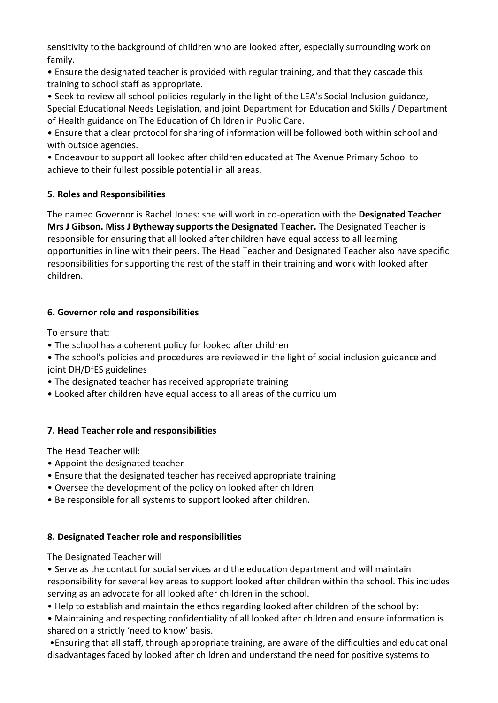sensitivity to the background of children who are looked after, especially surrounding work on family.

• Ensure the designated teacher is provided with regular training, and that they cascade this training to school staff as appropriate.

• Seek to review all school policies regularly in the light of the LEA's Social Inclusion guidance, Special Educational Needs Legislation, and joint Department for Education and Skills / Department of Health guidance on The Education of Children in Public Care.

• Ensure that a clear protocol for sharing of information will be followed both within school and with outside agencies.

• Endeavour to support all looked after children educated at The Avenue Primary School to achieve to their fullest possible potential in all areas.

### **5. Roles and Responsibilities**

The named Governor is Rachel Jones: she will work in co-operation with the **Designated Teacher Mrs J Gibson. Miss J Bytheway supports the Designated Teacher.** The Designated Teacher is responsible for ensuring that all looked after children have equal access to all learning opportunities in line with their peers. The Head Teacher and Designated Teacher also have specific responsibilities for supporting the rest of the staff in their training and work with looked after children.

# **6. Governor role and responsibilities**

To ensure that:

- The school has a coherent policy for looked after children
- The school's policies and procedures are reviewed in the light of social inclusion guidance and joint DH/DfES guidelines
- The designated teacher has received appropriate training
- Looked after children have equal access to all areas of the curriculum

# **7. Head Teacher role and responsibilities**

The Head Teacher will:

- Appoint the designated teacher
- Ensure that the designated teacher has received appropriate training
- Oversee the development of the policy on looked after children
- Be responsible for all systems to support looked after children.

# **8. Designated Teacher role and responsibilities**

The Designated Teacher will

• Serve as the contact for social services and the education department and will maintain responsibility for several key areas to support looked after children within the school. This includes serving as an advocate for all looked after children in the school.

• Help to establish and maintain the ethos regarding looked after children of the school by:

• Maintaining and respecting confidentiality of all looked after children and ensure information is shared on a strictly 'need to know' basis.

•Ensuring that all staff, through appropriate training, are aware of the difficulties and educational disadvantages faced by looked after children and understand the need for positive systems to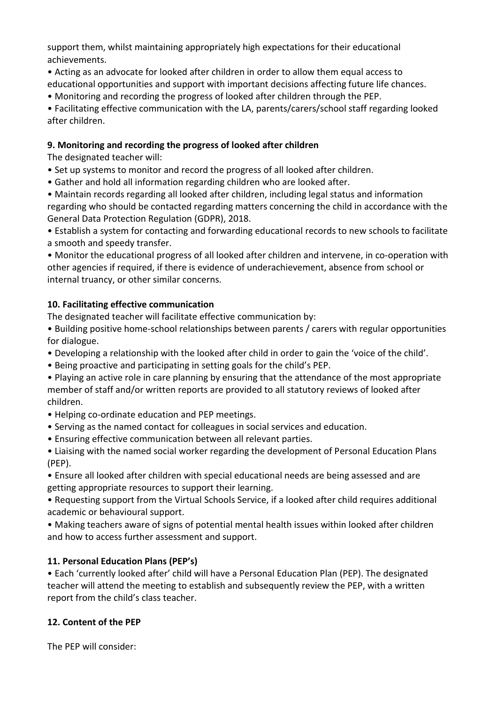support them, whilst maintaining appropriately high expectations for their educational achievements.

- Acting as an advocate for looked after children in order to allow them equal access to educational opportunities and support with important decisions affecting future life chances.
- Monitoring and recording the progress of looked after children through the PEP.

• Facilitating effective communication with the LA, parents/carers/school staff regarding looked after children.

## **9. Monitoring and recording the progress of looked after children**

The designated teacher will:

- Set up systems to monitor and record the progress of all looked after children.
- Gather and hold all information regarding children who are looked after.

• Maintain records regarding all looked after children, including legal status and information regarding who should be contacted regarding matters concerning the child in accordance with the General Data Protection Regulation (GDPR), 2018.

• Establish a system for contacting and forwarding educational records to new schools to facilitate a smooth and speedy transfer.

• Monitor the educational progress of all looked after children and intervene, in co-operation with other agencies if required, if there is evidence of underachievement, absence from school or internal truancy, or other similar concerns.

### **10. Facilitating effective communication**

The designated teacher will facilitate effective communication by:

- Building positive home-school relationships between parents / carers with regular opportunities for dialogue.
- Developing a relationship with the looked after child in order to gain the 'voice of the child'.
- Being proactive and participating in setting goals for the child's PEP.
- Playing an active role in care planning by ensuring that the attendance of the most appropriate member of staff and/or written reports are provided to all statutory reviews of looked after children.
- Helping co-ordinate education and PEP meetings.
- Serving as the named contact for colleagues in social services and education.
- Ensuring effective communication between all relevant parties.

• Liaising with the named social worker regarding the development of Personal Education Plans (PEP).

• Ensure all looked after children with special educational needs are being assessed and are getting appropriate resources to support their learning.

• Requesting support from the Virtual Schools Service, if a looked after child requires additional academic or behavioural support.

• Making teachers aware of signs of potential mental health issues within looked after children and how to access further assessment and support.

# **11. Personal Education Plans (PEP's)**

• Each 'currently looked after' child will have a Personal Education Plan (PEP). The designated teacher will attend the meeting to establish and subsequently review the PEP, with a written report from the child's class teacher.

# **12. Content of the PEP**

The PEP will consider: